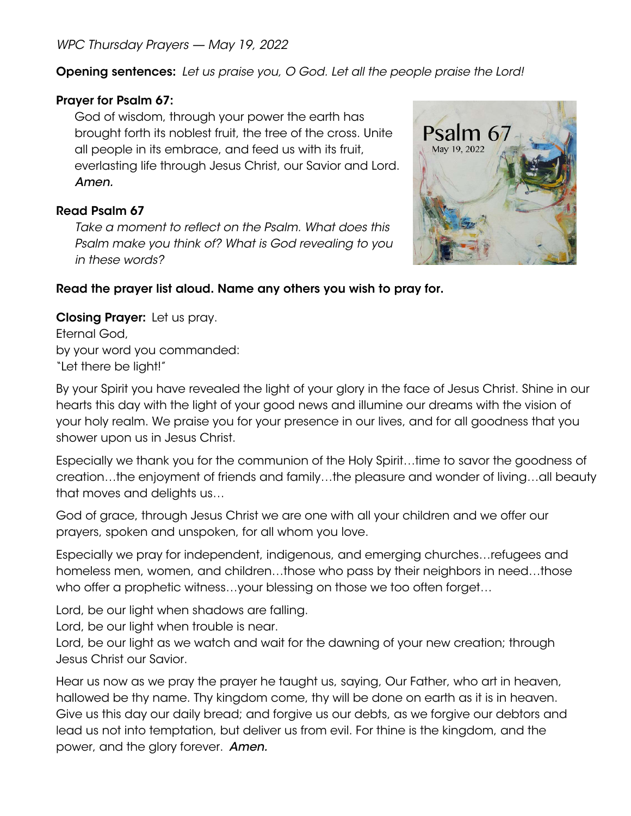*WPC Thursday Prayers — May 19, 2022*

Opening sentences: *Let us praise you, O God. Let all the people praise the Lord!*

# Prayer for Psalm 67:

God of wisdom, through your power the earth has brought forth its noblest fruit, the tree of the cross. Unite all people in its embrace, and feed us with its fruit, everlasting life through Jesus Christ, our Savior and Lord. *Amen.*

# Read Psalm 67

*Take a moment to reflect on the Psalm. What does this Psalm make you think of? What is God revealing to you in these words?* 



# Read the prayer list aloud. Name any others you wish to pray for.

Closing Prayer: Let us pray. Eternal God, by your word you commanded: "Let there be light!"

By your Spirit you have revealed the light of your glory in the face of Jesus Christ. Shine in our hearts this day with the light of your good news and illumine our dreams with the vision of your holy realm. We praise you for your presence in our lives, and for all goodness that you shower upon us in Jesus Christ.

Especially we thank you for the communion of the Holy Spirit…time to savor the goodness of creation…the enjoyment of friends and family…the pleasure and wonder of living…all beauty that moves and delights us…

God of grace, through Jesus Christ we are one with all your children and we offer our prayers, spoken and unspoken, for all whom you love.

Especially we pray for independent, indigenous, and emerging churches…refugees and homeless men, women, and children…those who pass by their neighbors in need…those who offer a prophetic witness...your blessing on those we too often forget...

Lord, be our light when shadows are falling.

Lord, be our light when trouble is near.

Lord, be our light as we watch and wait for the dawning of your new creation; through Jesus Christ our Savior.

Hear us now as we pray the prayer he taught us, saying, Our Father, who art in heaven, hallowed be thy name. Thy kingdom come, thy will be done on earth as it is in heaven. Give us this day our daily bread; and forgive us our debts, as we forgive our debtors and lead us not into temptation, but deliver us from evil. For thine is the kingdom, and the power, and the glory forever. *Amen.*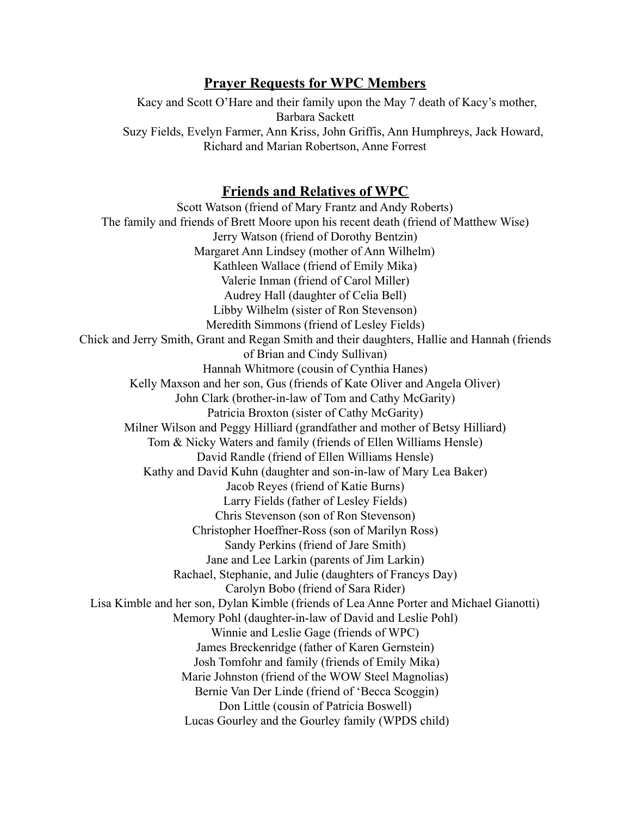## **Prayer Requests for WPC Members**

Kacy and Scott O'Hare and their family upon the May 7 death of Kacy's mother, Barbara Sackett Suzy Fields, Evelyn Farmer, Ann Kriss, John Griffis, Ann Humphreys, Jack Howard, Richard and Marian Robertson, Anne Forrest

### **Friends and Relatives of WPC**

Scott Watson (friend of Mary Frantz and Andy Roberts) The family and friends of Brett Moore upon his recent death (friend of Matthew Wise) Jerry Watson (friend of Dorothy Bentzin) Margaret Ann Lindsey (mother of Ann Wilhelm) Kathleen Wallace (friend of Emily Mika) Valerie Inman (friend of Carol Miller) Audrey Hall (daughter of Celia Bell) Libby Wilhelm (sister of Ron Stevenson) Meredith Simmons (friend of Lesley Fields) Chick and Jerry Smith, Grant and Regan Smith and their daughters, Hallie and Hannah (friends of Brian and Cindy Sullivan) Hannah Whitmore (cousin of Cynthia Hanes) Kelly Maxson and her son, Gus (friends of Kate Oliver and Angela Oliver) John Clark (brother-in-law of Tom and Cathy McGarity) Patricia Broxton (sister of Cathy McGarity) Milner Wilson and Peggy Hilliard (grandfather and mother of Betsy Hilliard) Tom & Nicky Waters and family (friends of Ellen Williams Hensle) David Randle (friend of Ellen Williams Hensle) Kathy and David Kuhn (daughter and son-in-law of Mary Lea Baker) Jacob Reyes (friend of Katie Burns) Larry Fields (father of Lesley Fields) Chris Stevenson (son of Ron Stevenson) Christopher Hoeffner-Ross (son of Marilyn Ross) Sandy Perkins (friend of Jare Smith) Jane and Lee Larkin (parents of Jim Larkin) Rachael, Stephanie, and Julie (daughters of Francys Day) Carolyn Bobo (friend of Sara Rider) Lisa Kimble and her son, Dylan Kimble (friends of Lea Anne Porter and Michael Gianotti) Memory Pohl (daughter-in-law of David and Leslie Pohl) Winnie and Leslie Gage (friends of WPC) James Breckenridge (father of Karen Gernstein) Josh Tomfohr and family (friends of Emily Mika) Marie Johnston (friend of the WOW Steel Magnolias) Bernie Van Der Linde (friend of 'Becca Scoggin) Don Little (cousin of Patricia Boswell) Lucas Gourley and the Gourley family (WPDS child)